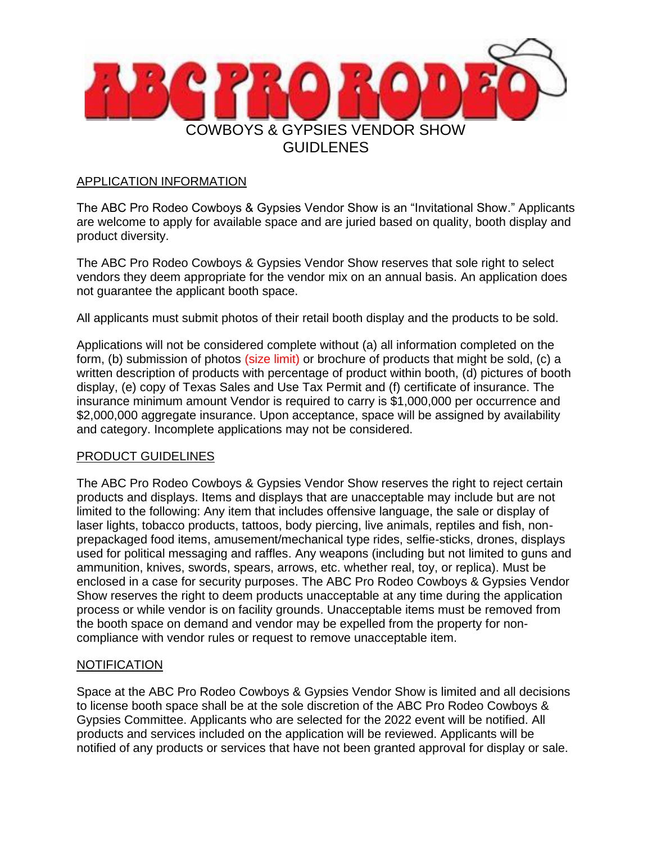

### APPLICATION INFORMATION

The ABC Pro Rodeo Cowboys & Gypsies Vendor Show is an "Invitational Show." Applicants are welcome to apply for available space and are juried based on quality, booth display and product diversity.

The ABC Pro Rodeo Cowboys & Gypsies Vendor Show reserves that sole right to select vendors they deem appropriate for the vendor mix on an annual basis. An application does not guarantee the applicant booth space.

All applicants must submit photos of their retail booth display and the products to be sold.

Applications will not be considered complete without (a) all information completed on the form, (b) submission of photos (size limit) or brochure of products that might be sold, (c) a written description of products with percentage of product within booth, (d) pictures of booth display, (e) copy of Texas Sales and Use Tax Permit and (f) certificate of insurance. The insurance minimum amount Vendor is required to carry is \$1,000,000 per occurrence and \$2,000,000 aggregate insurance. Upon acceptance, space will be assigned by availability and category. Incomplete applications may not be considered.

# PRODUCT GUIDELINES

The ABC Pro Rodeo Cowboys & Gypsies Vendor Show reserves the right to reject certain products and displays. Items and displays that are unacceptable may include but are not limited to the following: Any item that includes offensive language, the sale or display of laser lights, tobacco products, tattoos, body piercing, live animals, reptiles and fish, nonprepackaged food items, amusement/mechanical type rides, selfie-sticks, drones, displays used for political messaging and raffles. Any weapons (including but not limited to guns and ammunition, knives, swords, spears, arrows, etc. whether real, toy, or replica). Must be enclosed in a case for security purposes. The ABC Pro Rodeo Cowboys & Gypsies Vendor Show reserves the right to deem products unacceptable at any time during the application process or while vendor is on facility grounds. Unacceptable items must be removed from the booth space on demand and vendor may be expelled from the property for noncompliance with vendor rules or request to remove unacceptable item.

# **NOTIFICATION**

Space at the ABC Pro Rodeo Cowboys & Gypsies Vendor Show is limited and all decisions to license booth space shall be at the sole discretion of the ABC Pro Rodeo Cowboys & Gypsies Committee. Applicants who are selected for the 2022 event will be notified. All products and services included on the application will be reviewed. Applicants will be notified of any products or services that have not been granted approval for display or sale.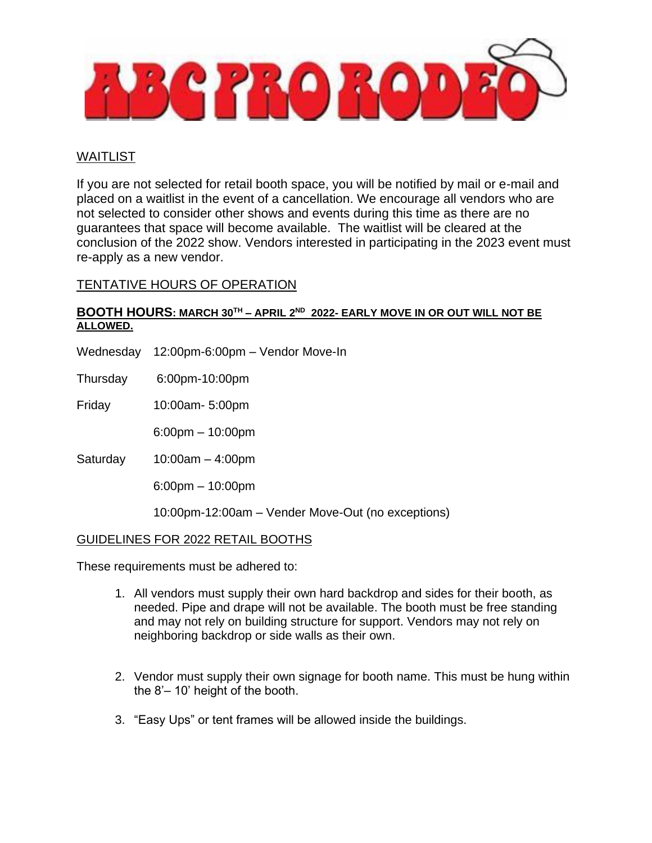

# WAITLIST

If you are not selected for retail booth space, you will be notified by mail or e-mail and placed on a waitlist in the event of a cancellation. We encourage all vendors who are not selected to consider other shows and events during this time as there are no guarantees that space will become available. The waitlist will be cleared at the conclusion of the 2022 show. Vendors interested in participating in the 2023 event must re-apply as a new vendor.

# TENTATIVE HOURS OF OPERATION

#### **BOOTH HOURS: MARCH 30TH – APRIL 2ND 2022- EARLY MOVE IN OR OUT WILL NOT BE ALLOWED.**

- Wednesday 12:00pm-6:00pm Vendor Move-In
- Thursday 6:00pm-10:00pm

Friday 10:00am- 5:00pm

6:00pm – 10:00pm

Saturday 10:00am – 4:00pm

6:00pm – 10:00pm

10:00pm-12:00am – Vender Move-Out (no exceptions)

#### GUIDELINES FOR 2022 RETAIL BOOTHS

These requirements must be adhered to:

- 1. All vendors must supply their own hard backdrop and sides for their booth, as needed. Pipe and drape will not be available. The booth must be free standing and may not rely on building structure for support. Vendors may not rely on neighboring backdrop or side walls as their own.
- 2. Vendor must supply their own signage for booth name. This must be hung within the 8'– 10' height of the booth.
- 3. "Easy Ups" or tent frames will be allowed inside the buildings.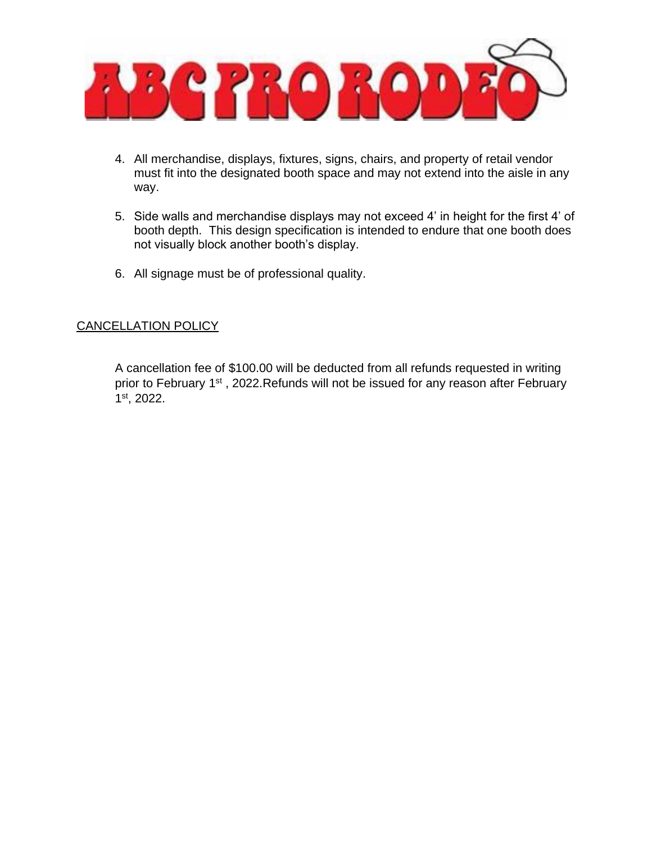

- 4. All merchandise, displays, fixtures, signs, chairs, and property of retail vendor must fit into the designated booth space and may not extend into the aisle in any way.
- 5. Side walls and merchandise displays may not exceed 4' in height for the first 4' of booth depth. This design specification is intended to endure that one booth does not visually block another booth's display.
- 6. All signage must be of professional quality.

# CANCELLATION POLICY

A cancellation fee of \$100.00 will be deducted from all refunds requested in writing prior to February 1<sup>st</sup>, 2022. Refunds will not be issued for any reason after February 1 st, 2022.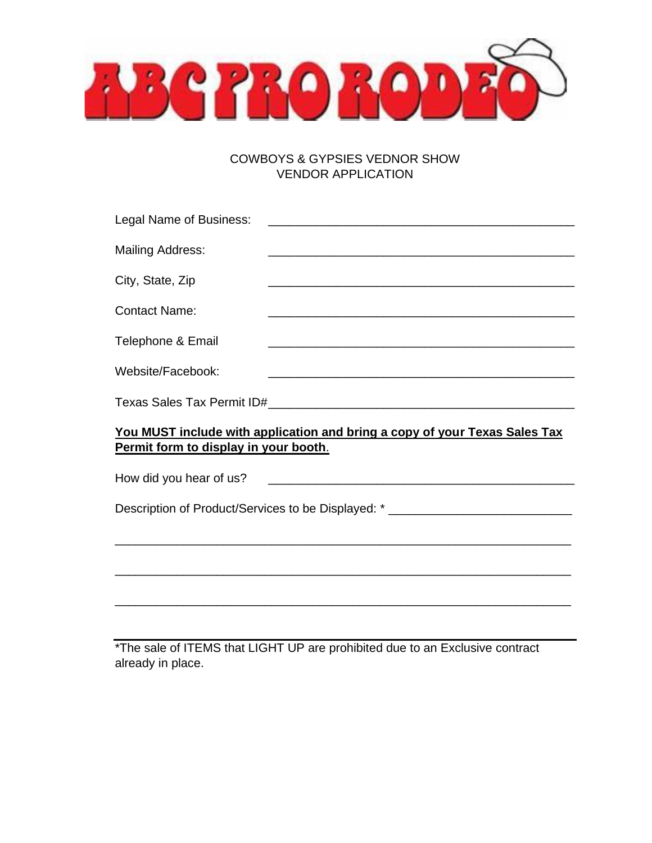**ABGPROBOD** 

# COWBOYS & GYPSIES VEDNOR SHOW VENDOR APPLICATION

\*The sale of ITEMS that LIGHT UP are prohibited due to an Exclusive contract already in place.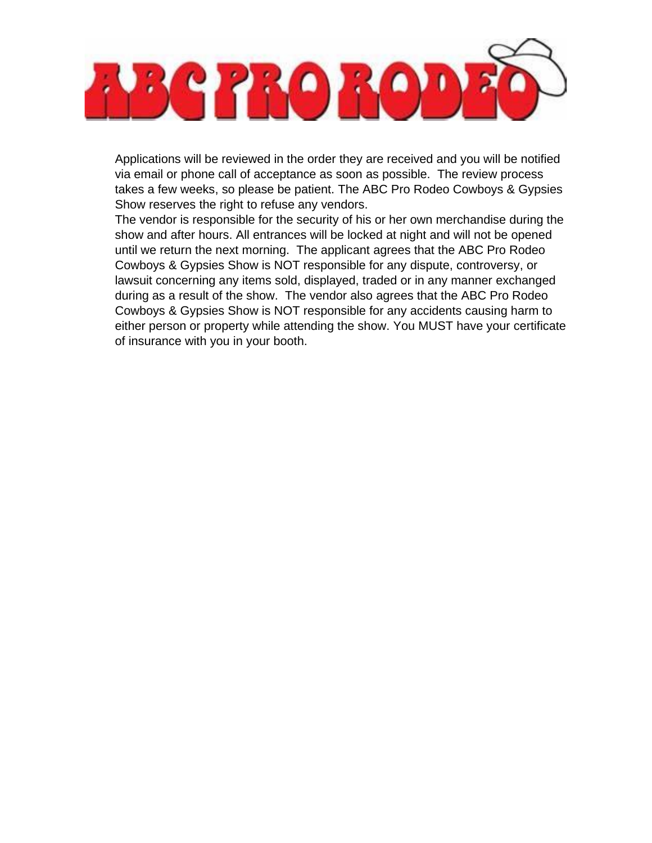

Applications will be reviewed in the order they are received and you will be notified via email or phone call of acceptance as soon as possible. The review process takes a few weeks, so please be patient. The ABC Pro Rodeo Cowboys & Gypsies Show reserves the right to refuse any vendors.

The vendor is responsible for the security of his or her own merchandise during the show and after hours. All entrances will be locked at night and will not be opened until we return the next morning. The applicant agrees that the ABC Pro Rodeo Cowboys & Gypsies Show is NOT responsible for any dispute, controversy, or lawsuit concerning any items sold, displayed, traded or in any manner exchanged during as a result of the show. The vendor also agrees that the ABC Pro Rodeo Cowboys & Gypsies Show is NOT responsible for any accidents causing harm to either person or property while attending the show. You MUST have your certificate of insurance with you in your booth.